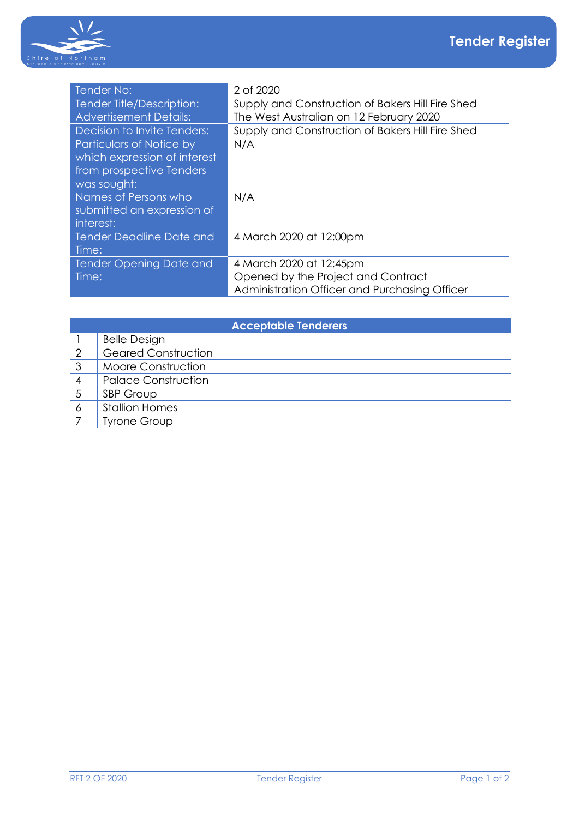

| Tender No:                                                                                          | 2 of 2020                                                                                                      |
|-----------------------------------------------------------------------------------------------------|----------------------------------------------------------------------------------------------------------------|
| Tender Title/Description:                                                                           | Supply and Construction of Bakers Hill Fire Shed                                                               |
| <b>Advertisement Details:</b>                                                                       | The West Australian on 12 February 2020                                                                        |
| Decision to Invite Tenders:                                                                         | Supply and Construction of Bakers Hill Fire Shed                                                               |
| Particulars of Notice by<br>which expression of interest<br>from prospective Tenders<br>was sought: | N/A                                                                                                            |
| Names of Persons who<br>submitted an expression of<br>interest:                                     | N/A                                                                                                            |
| <b>Tender Deadline Date and</b><br>Time:                                                            | 4 March 2020 at 12:00pm                                                                                        |
| Tender Opening Date and<br>Time:                                                                    | 4 March 2020 at 12:45pm<br>Opened by the Project and Contract<br>Administration Officer and Purchasing Officer |

| <b>Acceptable Tenderers</b> |                            |  |  |
|-----------------------------|----------------------------|--|--|
|                             | <b>Belle Design</b>        |  |  |
|                             | <b>Geared Construction</b> |  |  |
| 3                           | Moore Construction         |  |  |
|                             | <b>Palace Construction</b> |  |  |
|                             | SBP Group                  |  |  |
| O                           | <b>Stallion Homes</b>      |  |  |
|                             | <b>Tyrone Group</b>        |  |  |